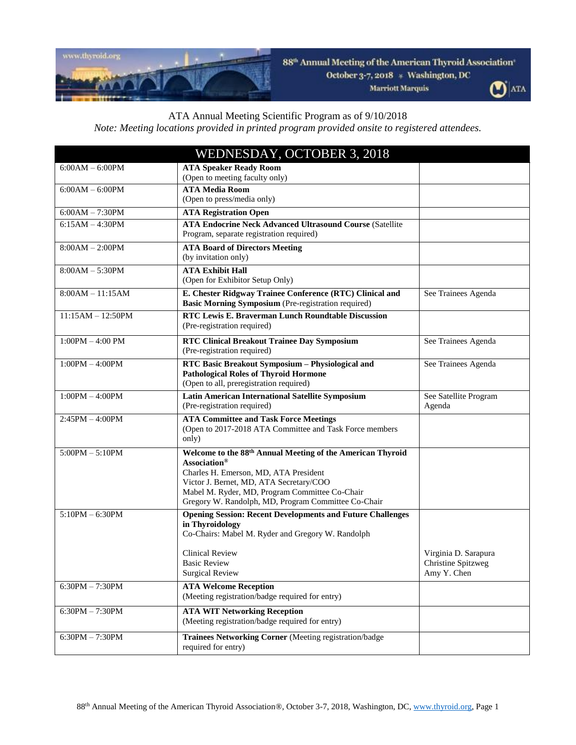

88<sup>th</sup> Annual Meeting of the American Thyroid Association

October 3-7, 2018 \* Washington, DC

Marriott Marquis



## ATA Annual Meeting Scientific Program as of 9/10/2018

*Note: Meeting locations provided in printed program provided onsite to registered attendees.*

| WEDNESDAY, OCTOBER 3, 2018 |                                                                                                                                                                                                                                                                                     |                                   |
|----------------------------|-------------------------------------------------------------------------------------------------------------------------------------------------------------------------------------------------------------------------------------------------------------------------------------|-----------------------------------|
| $6:00AM - 6:00PM$          | <b>ATA Speaker Ready Room</b><br>(Open to meeting faculty only)                                                                                                                                                                                                                     |                                   |
| $6:00AM - 6:00PM$          | <b>ATA Media Room</b><br>(Open to press/media only)                                                                                                                                                                                                                                 |                                   |
| $6:00AM - 7:30PM$          | <b>ATA Registration Open</b>                                                                                                                                                                                                                                                        |                                   |
| $6:15AM - 4:30PM$          | <b>ATA Endocrine Neck Advanced Ultrasound Course (Satellite</b><br>Program, separate registration required)                                                                                                                                                                         |                                   |
| $8:00AM - 2:00PM$          | <b>ATA Board of Directors Meeting</b><br>(by invitation only)                                                                                                                                                                                                                       |                                   |
| $8:00AM - 5:30PM$          | <b>ATA Exhibit Hall</b><br>(Open for Exhibitor Setup Only)                                                                                                                                                                                                                          |                                   |
| $8:00AM - 11:15AM$         | E. Chester Ridgway Trainee Conference (RTC) Clinical and<br>Basic Morning Symposium (Pre-registration required)                                                                                                                                                                     | See Trainees Agenda               |
| $11:15AM - 12:50PM$        | RTC Lewis E. Braverman Lunch Roundtable Discussion<br>(Pre-registration required)                                                                                                                                                                                                   |                                   |
| $1:00PM - 4:00 PM$         | <b>RTC Clinical Breakout Trainee Day Symposium</b><br>(Pre-registration required)                                                                                                                                                                                                   | See Trainees Agenda               |
| $1:00PM - 4:00PM$          | RTC Basic Breakout Symposium - Physiological and<br><b>Pathological Roles of Thyroid Hormone</b><br>(Open to all, preregistration required)                                                                                                                                         | See Trainees Agenda               |
| $1:00PM - 4:00PM$          | <b>Latin American International Satellite Symposium</b><br>(Pre-registration required)                                                                                                                                                                                              | See Satellite Program<br>Agenda   |
| $2:45PM - 4:00PM$          | <b>ATA Committee and Task Force Meetings</b><br>(Open to 2017-2018 ATA Committee and Task Force members<br>only)                                                                                                                                                                    |                                   |
| $5:00PM - 5:10PM$          | Welcome to the 88 <sup>th</sup> Annual Meeting of the American Thyroid<br>Association®<br>Charles H. Emerson, MD, ATA President<br>Victor J. Bernet, MD, ATA Secretary/COO<br>Mabel M. Ryder, MD, Program Committee Co-Chair<br>Gregory W. Randolph, MD, Program Committee Co-Chair |                                   |
| $5:10PM - 6:30PM$          | <b>Opening Session: Recent Developments and Future Challenges</b><br>in Thyroidology<br>Co-Chairs: Mabel M. Ryder and Gregory W. Randolph<br><b>Clinical Review</b>                                                                                                                 | Virginia D. Sarapura              |
|                            | <b>Basic Review</b><br><b>Surgical Review</b>                                                                                                                                                                                                                                       | Christine Spitzweg<br>Amy Y. Chen |
| $6:30PM - 7:30PM$          | <b>ATA Welcome Reception</b><br>(Meeting registration/badge required for entry)                                                                                                                                                                                                     |                                   |
| $6:30PM - 7:30PM$          | <b>ATA WIT Networking Reception</b><br>(Meeting registration/badge required for entry)                                                                                                                                                                                              |                                   |
| $6:30PM - 7:30PM$          | Trainees Networking Corner (Meeting registration/badge<br>required for entry)                                                                                                                                                                                                       |                                   |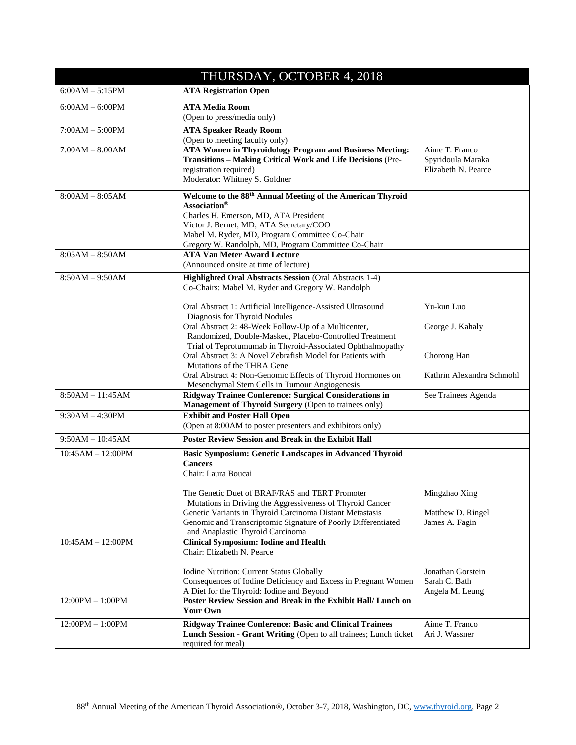| THURSDAY, OCTOBER 4, 2018 |                                                                                                                                                                                                                                                                                                 |                                                            |  |
|---------------------------|-------------------------------------------------------------------------------------------------------------------------------------------------------------------------------------------------------------------------------------------------------------------------------------------------|------------------------------------------------------------|--|
| $6:00AM - 5:15PM$         | <b>ATA Registration Open</b>                                                                                                                                                                                                                                                                    |                                                            |  |
| $6:00AM - 6:00PM$         | <b>ATA Media Room</b><br>(Open to press/media only)                                                                                                                                                                                                                                             |                                                            |  |
| $7:00AM - 5:00PM$         | <b>ATA Speaker Ready Room</b><br>(Open to meeting faculty only)                                                                                                                                                                                                                                 |                                                            |  |
| $7:00AM - 8:00AM$         | <b>ATA Women in Thyroidology Program and Business Meeting:</b><br>Transitions - Making Critical Work and Life Decisions (Pre-<br>registration required)<br>Moderator: Whitney S. Goldner                                                                                                        | Aime T. Franco<br>Spyridoula Maraka<br>Elizabeth N. Pearce |  |
| $8:00AM - 8:05AM$         | Welcome to the 88 <sup>th</sup> Annual Meeting of the American Thyroid<br>Association <sup>®</sup><br>Charles H. Emerson, MD, ATA President<br>Victor J. Bernet, MD, ATA Secretary/COO<br>Mabel M. Ryder, MD, Program Committee Co-Chair<br>Gregory W. Randolph, MD, Program Committee Co-Chair |                                                            |  |
| $8:05AM - 8:50AM$         | <b>ATA Van Meter Award Lecture</b><br>(Announced onsite at time of lecture)                                                                                                                                                                                                                     |                                                            |  |
| $8:50AM - 9:50AM$         | Highlighted Oral Abstracts Session (Oral Abstracts 1-4)<br>Co-Chairs: Mabel M. Ryder and Gregory W. Randolph                                                                                                                                                                                    |                                                            |  |
|                           | Oral Abstract 1: Artificial Intelligence-Assisted Ultrasound<br>Diagnosis for Thyroid Nodules<br>Oral Abstract 2: 48-Week Follow-Up of a Multicenter,<br>Randomized, Double-Masked, Placebo-Controlled Treatment                                                                                | Yu-kun Luo<br>George J. Kahaly                             |  |
|                           | Trial of Teprotumumab in Thyroid-Associated Ophthalmopathy<br>Oral Abstract 3: A Novel Zebrafish Model for Patients with<br>Mutations of the THRA Gene                                                                                                                                          | Chorong Han                                                |  |
|                           | Oral Abstract 4: Non-Genomic Effects of Thyroid Hormones on<br>Mesenchymal Stem Cells in Tumour Angiogenesis                                                                                                                                                                                    | Kathrin Alexandra Schmohl                                  |  |
| $8:50AM - 11:45AM$        | Ridgway Trainee Conference: Surgical Considerations in<br>Management of Thyroid Surgery (Open to trainees only)                                                                                                                                                                                 | See Trainees Agenda                                        |  |
| $9:30AM - 4:30PM$         | <b>Exhibit and Poster Hall Open</b><br>(Open at 8:00AM to poster presenters and exhibitors only)                                                                                                                                                                                                |                                                            |  |
| $9:50AM - 10:45AM$        | <b>Poster Review Session and Break in the Exhibit Hall</b>                                                                                                                                                                                                                                      |                                                            |  |
| $10:45AM - 12:00PM$       | <b>Basic Symposium: Genetic Landscapes in Advanced Thyroid</b><br><b>Cancers</b><br>Chair: Laura Boucai                                                                                                                                                                                         |                                                            |  |
|                           | The Genetic Duet of BRAF/RAS and TERT Promoter<br>Mutations in Driving the Aggressiveness of Thyroid Cancer<br>Genetic Variants in Thyroid Carcinoma Distant Metastasis<br>Genomic and Transcriptomic Signature of Poorly Differentiated<br>and Anaplastic Thyroid Carcinoma                    | Mingzhao Xing<br>Matthew D. Ringel<br>James A. Fagin       |  |
| $10:45AM - 12:00PM$       | <b>Clinical Symposium: Iodine and Health</b><br>Chair: Elizabeth N. Pearce                                                                                                                                                                                                                      |                                                            |  |
|                           | Iodine Nutrition: Current Status Globally<br>Consequences of Iodine Deficiency and Excess in Pregnant Women<br>A Diet for the Thyroid: Iodine and Beyond                                                                                                                                        | Jonathan Gorstein<br>Sarah C. Bath<br>Angela M. Leung      |  |
| $12:00PM - 1:00PM$        | Poster Review Session and Break in the Exhibit Hall/ Lunch on<br>Your Own                                                                                                                                                                                                                       |                                                            |  |
| $12:00PM - 1:00PM$        | Ridgway Trainee Conference: Basic and Clinical Trainees<br>Lunch Session - Grant Writing (Open to all trainees; Lunch ticket<br>required for meal)                                                                                                                                              | Aime T. Franco<br>Ari J. Wassner                           |  |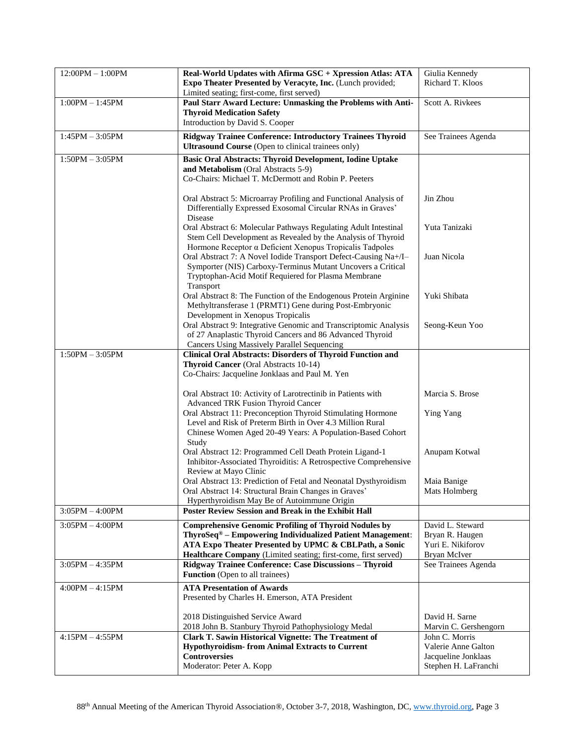| $12:00PM - 1:00PM$ | Real-World Updates with Afirma GSC + Xpression Atlas: ATA<br>Expo Theater Presented by Veracyte, Inc. (Lunch provided;<br>Limited seating; first-come, first served)                                                                                             | Giulia Kennedy<br>Richard T. Kloos                                                   |
|--------------------|------------------------------------------------------------------------------------------------------------------------------------------------------------------------------------------------------------------------------------------------------------------|--------------------------------------------------------------------------------------|
| $1:00PM - 1:45PM$  | Paul Starr Award Lecture: Unmasking the Problems with Anti-<br><b>Thyroid Medication Safety</b><br>Introduction by David S. Cooper                                                                                                                               | Scott A. Rivkees                                                                     |
| $1:45PM - 3:05PM$  | Ridgway Trainee Conference: Introductory Trainees Thyroid<br><b>Ultrasound Course</b> (Open to clinical trainees only)                                                                                                                                           | See Trainees Agenda                                                                  |
| $1:50PM - 3:05PM$  | <b>Basic Oral Abstracts: Thyroid Development, Iodine Uptake</b><br>and Metabolism (Oral Abstracts 5-9)<br>Co-Chairs: Michael T. McDermott and Robin P. Peeters                                                                                                   |                                                                                      |
|                    | Oral Abstract 5: Microarray Profiling and Functional Analysis of<br>Differentially Expressed Exosomal Circular RNAs in Graves'<br>Disease                                                                                                                        | Jin Zhou                                                                             |
|                    | Oral Abstract 6: Molecular Pathways Regulating Adult Intestinal<br>Stem Cell Development as Revealed by the Analysis of Thyroid<br>Hormone Receptor a Deficient Xenopus Tropicalis Tadpoles                                                                      | Yuta Tanizaki                                                                        |
|                    | Oral Abstract 7: A Novel Iodide Transport Defect-Causing Na+/I-<br>Symporter (NIS) Carboxy-Terminus Mutant Uncovers a Critical<br>Tryptophan-Acid Motif Requiered for Plasma Membrane<br>Transport                                                               | Juan Nicola                                                                          |
|                    | Oral Abstract 8: The Function of the Endogenous Protein Arginine<br>Methyltransferase 1 (PRMT1) Gene during Post-Embryonic<br>Development in Xenopus Tropicalis                                                                                                  | Yuki Shibata                                                                         |
|                    | Oral Abstract 9: Integrative Genomic and Transcriptomic Analysis<br>of 27 Anaplastic Thyroid Cancers and 86 Advanced Thyroid<br><b>Cancers Using Massively Parallel Sequencing</b>                                                                               | Seong-Keun Yoo                                                                       |
| $1:50PM - 3:05PM$  | <b>Clinical Oral Abstracts: Disorders of Thyroid Function and</b><br>Thyroid Cancer (Oral Abstracts 10-14)<br>Co-Chairs: Jacqueline Jonklaas and Paul M. Yen                                                                                                     |                                                                                      |
|                    | Oral Abstract 10: Activity of Larotrectinib in Patients with<br><b>Advanced TRK Fusion Thyroid Cancer</b>                                                                                                                                                        | Marcia S. Brose                                                                      |
|                    | Oral Abstract 11: Preconception Thyroid Stimulating Hormone<br>Level and Risk of Preterm Birth in Over 4.3 Million Rural<br>Chinese Women Aged 20-49 Years: A Population-Based Cohort<br>Study                                                                   | Ying Yang                                                                            |
|                    | Oral Abstract 12: Programmed Cell Death Protein Ligand-1<br>Inhibitor-Associated Thyroiditis: A Retrospective Comprehensive<br>Review at Mayo Clinic                                                                                                             | Anupam Kotwal                                                                        |
|                    | Oral Abstract 13: Prediction of Fetal and Neonatal Dysthyroidism<br>Oral Abstract 14: Structural Brain Changes in Graves'<br>Hyperthyroidism May Be of Autoimmune Origin                                                                                         | Maia Banige<br>Mats Holmberg                                                         |
| $3:05PM - 4:00PM$  | <b>Poster Review Session and Break in the Exhibit Hall</b>                                                                                                                                                                                                       |                                                                                      |
| $3:05PM - 4:00PM$  | <b>Comprehensive Genomic Profiling of Thyroid Nodules by</b><br>ThyroSeq <sup>®</sup> – Empowering Individualized Patient Management:<br>ATA Expo Theater Presented by UPMC & CBLPath, a Sonic<br>Healthcare Company (Limited seating; first-come, first served) | David L. Steward<br>Bryan R. Haugen<br>Yuri E. Nikiforov<br>Bryan McIver             |
| $3:05PM - 4:35PM$  | Ridgway Trainee Conference: Case Discussions - Thyroid<br><b>Function</b> (Open to all trainees)                                                                                                                                                                 | See Trainees Agenda                                                                  |
| $4:00PM - 4:15PM$  | <b>ATA Presentation of Awards</b><br>Presented by Charles H. Emerson, ATA President                                                                                                                                                                              |                                                                                      |
|                    | 2018 Distinguished Service Award<br>2018 John B. Stanbury Thyroid Pathophysiology Medal                                                                                                                                                                          | David H. Sarne<br>Marvin C. Gershengorn                                              |
| $4:15PM - 4:55PM$  | <b>Clark T. Sawin Historical Vignette: The Treatment of</b><br><b>Hypothyroidism-from Animal Extracts to Current</b><br><b>Controversies</b><br>Moderator: Peter A. Kopp                                                                                         | John C. Morris<br>Valerie Anne Galton<br>Jacqueline Jonklaas<br>Stephen H. LaFranchi |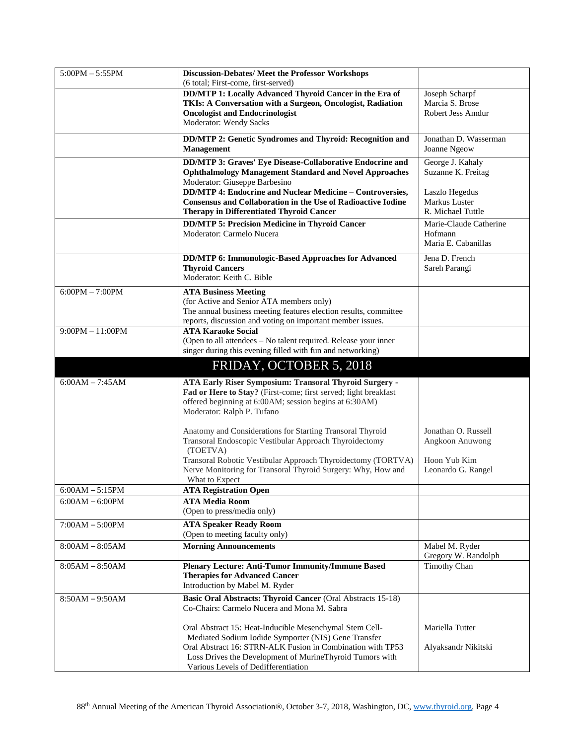| $5:00PM - 5:55PM$  | <b>Discussion-Debates/ Meet the Professor Workshops</b><br>(6 total; First-come, first-served) |                        |
|--------------------|------------------------------------------------------------------------------------------------|------------------------|
|                    |                                                                                                |                        |
|                    | DD/MTP 1: Locally Advanced Thyroid Cancer in the Era of                                        | Joseph Scharpf         |
|                    | TKIs: A Conversation with a Surgeon, Oncologist, Radiation                                     | Marcia S. Brose        |
|                    | <b>Oncologist and Endocrinologist</b>                                                          | Robert Jess Amdur      |
|                    | Moderator: Wendy Sacks                                                                         |                        |
|                    | DD/MTP 2: Genetic Syndromes and Thyroid: Recognition and                                       | Jonathan D. Wasserman  |
|                    | <b>Management</b>                                                                              | Joanne Ngeow           |
|                    | DD/MTP 3: Graves' Eye Disease-Collaborative Endocrine and                                      | George J. Kahaly       |
|                    | <b>Ophthalmology Management Standard and Novel Approaches</b>                                  | Suzanne K. Freitag     |
|                    | Moderator: Giuseppe Barbesino                                                                  |                        |
|                    | <b>DD/MTP 4: Endocrine and Nuclear Medicine - Controversies,</b>                               | Laszlo Hegedus         |
|                    | <b>Consensus and Collaboration in the Use of Radioactive Iodine</b>                            | Markus Luster          |
|                    | <b>Therapy in Differentiated Thyroid Cancer</b>                                                | R. Michael Tuttle      |
|                    | <b>DD/MTP 5: Precision Medicine in Thyroid Cancer</b>                                          | Marie-Claude Catherine |
|                    | Moderator: Carmelo Nucera                                                                      | Hofmann                |
|                    |                                                                                                | Maria E. Cabanillas    |
|                    | DD/MTP 6: Immunologic-Based Approaches for Advanced                                            | Jena D. French         |
|                    | <b>Thyroid Cancers</b>                                                                         | Sareh Parangi          |
|                    | Moderator: Keith C. Bible                                                                      |                        |
| $6:00PM - 7:00PM$  | <b>ATA Business Meeting</b>                                                                    |                        |
|                    | (for Active and Senior ATA members only)                                                       |                        |
|                    | The annual business meeting features election results, committee                               |                        |
|                    | reports, discussion and voting on important member issues.                                     |                        |
| $9:00PM - 11:00PM$ | <b>ATA Karaoke Social</b>                                                                      |                        |
|                    | (Open to all attendees - No talent required. Release your inner                                |                        |
|                    | singer during this evening filled with fun and networking)                                     |                        |
|                    |                                                                                                |                        |
|                    | FRIDAY, OCTOBER 5, 2018                                                                        |                        |
| $6:00AM - 7:45AM$  | ATA Early Riser Symposium: Transoral Thyroid Surgery -                                         |                        |
|                    | Fad or Here to Stay? (First-come; first served; light breakfast                                |                        |
|                    | offered beginning at 6:00AM; session begins at 6:30AM)                                         |                        |
|                    | Moderator: Ralph P. Tufano                                                                     |                        |
|                    |                                                                                                |                        |
|                    | Anatomy and Considerations for Starting Transoral Thyroid                                      | Jonathan O. Russell    |
|                    | Transoral Endoscopic Vestibular Approach Thyroidectomy                                         | Angkoon Anuwong        |
|                    | (TOETVA)                                                                                       |                        |
|                    | Transoral Robotic Vestibular Approach Thyroidectomy (TORTVA)                                   | Hoon Yub Kim           |
|                    | Nerve Monitoring for Transoral Thyroid Surgery: Why, How and                                   | Leonardo G. Rangel     |
|                    | What to Expect                                                                                 |                        |
| $6:00AM - 5:15PM$  | <b>ATA Registration Open</b>                                                                   |                        |
| $6:00AM - 6:00PM$  | <b>ATA Media Room</b>                                                                          |                        |
|                    | (Open to press/media only)                                                                     |                        |
| $7:00AM - 5:00PM$  | <b>ATA Speaker Ready Room</b>                                                                  |                        |
|                    | (Open to meeting faculty only)                                                                 |                        |
| $8:00AM - 8:05AM$  | <b>Morning Announcements</b>                                                                   | Mabel M. Ryder         |
|                    |                                                                                                | Gregory W. Randolph    |
| $8:05AM - 8:50AM$  | <b>Plenary Lecture: Anti-Tumor Immunity/Immune Based</b>                                       | <b>Timothy Chan</b>    |
|                    | <b>Therapies for Advanced Cancer</b>                                                           |                        |
|                    | Introduction by Mabel M. Ryder                                                                 |                        |
| $8:50AM - 9:50AM$  | <b>Basic Oral Abstracts: Thyroid Cancer (Oral Abstracts 15-18)</b>                             |                        |
|                    | Co-Chairs: Carmelo Nucera and Mona M. Sabra                                                    |                        |
|                    |                                                                                                |                        |
|                    | Oral Abstract 15: Heat-Inducible Mesenchymal Stem Cell-                                        | Mariella Tutter        |
|                    | Mediated Sodium Iodide Symporter (NIS) Gene Transfer                                           |                        |
|                    | Oral Abstract 16: STRN-ALK Fusion in Combination with TP53                                     | Alyaksandr Nikitski    |
|                    | Loss Drives the Development of MurineThyroid Tumors with                                       |                        |
|                    | Various Levels of Dedifferentiation                                                            |                        |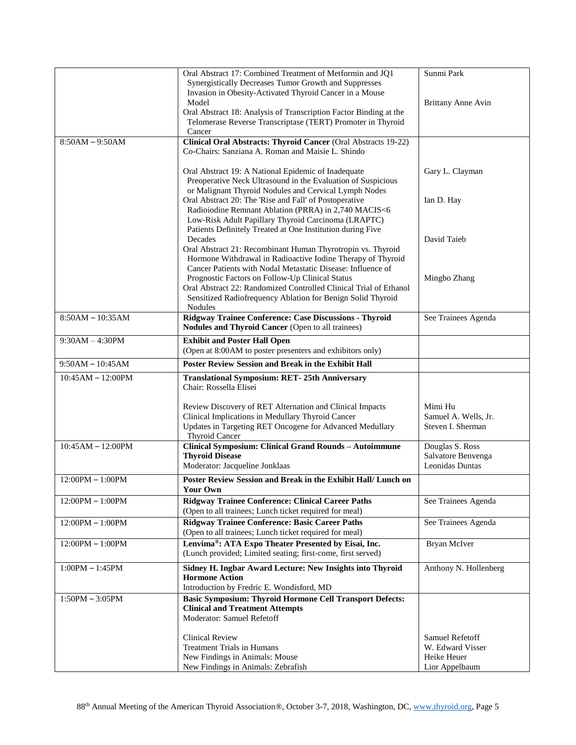|                     | Oral Abstract 17: Combined Treatment of Metformin and JQ1                        | Sunmi Park                                |
|---------------------|----------------------------------------------------------------------------------|-------------------------------------------|
|                     | Synergistically Decreases Tumor Growth and Suppresses                            |                                           |
|                     | Invasion in Obesity-Activated Thyroid Cancer in a Mouse                          |                                           |
|                     | Model                                                                            | <b>Brittany Anne Avin</b>                 |
|                     | Oral Abstract 18: Analysis of Transcription Factor Binding at the                |                                           |
|                     | Telomerase Reverse Transcriptase (TERT) Promoter in Thyroid                      |                                           |
|                     | Cancer                                                                           |                                           |
| $8:50AM - 9:50AM$   | Clinical Oral Abstracts: Thyroid Cancer (Oral Abstracts 19-22)                   |                                           |
|                     | Co-Chairs: Sanziana A. Roman and Maisie L. Shindo                                |                                           |
|                     |                                                                                  |                                           |
|                     | Oral Abstract 19: A National Epidemic of Inadequate                              | Gary L. Clayman                           |
|                     | Preoperative Neck Ultrasound in the Evaluation of Suspicious                     |                                           |
|                     | or Malignant Thyroid Nodules and Cervical Lymph Nodes                            |                                           |
|                     | Oral Abstract 20: The 'Rise and Fall' of Postoperative                           | Ian D. Hay                                |
|                     | Radioiodine Remnant Ablation (PRRA) in 2,740 MACIS<6                             |                                           |
|                     | Low-Risk Adult Papillary Thyroid Carcinoma (LRAPTC)                              |                                           |
|                     | Patients Definitely Treated at One Institution during Five                       |                                           |
|                     | Decades                                                                          | David Taieb                               |
|                     | Oral Abstract 21: Recombinant Human Thyrotropin vs. Thyroid                      |                                           |
|                     | Hormone Withdrawal in Radioactive Iodine Therapy of Thyroid                      |                                           |
|                     | Cancer Patients with Nodal Metastatic Disease: Influence of                      |                                           |
|                     | Prognostic Factors on Follow-Up Clinical Status                                  | Mingbo Zhang                              |
|                     | Oral Abstract 22: Randomized Controlled Clinical Trial of Ethanol                |                                           |
|                     | Sensitized Radiofrequency Ablation for Benign Solid Thyroid                      |                                           |
|                     | Nodules                                                                          |                                           |
| $8:50AM - 10:35AM$  | Ridgway Trainee Conference: Case Discussions - Thyroid                           | See Trainees Agenda                       |
|                     | Nodules and Thyroid Cancer (Open to all trainees)                                |                                           |
|                     |                                                                                  |                                           |
| $9:30AM - 4:30PM$   | <b>Exhibit and Poster Hall Open</b>                                              |                                           |
|                     | (Open at 8:00AM to poster presenters and exhibitors only)                        |                                           |
| $9:50AM - 10:45AM$  | Poster Review Session and Break in the Exhibit Hall                              |                                           |
|                     |                                                                                  |                                           |
|                     |                                                                                  |                                           |
| $10:45AM - 12:00PM$ | <b>Translational Symposium: RET-25th Anniversary</b><br>Chair: Rossella Elisei   |                                           |
|                     |                                                                                  |                                           |
|                     |                                                                                  | Mimi Hu                                   |
|                     | Review Discovery of RET Alternation and Clinical Impacts                         |                                           |
|                     | Clinical Implications in Medullary Thyroid Cancer                                | Samuel A. Wells, Jr.<br>Steven I. Sherman |
|                     | Updates in Targeting RET Oncogene for Advanced Medullary                         |                                           |
| $10:45AM - 12:00PM$ | Thyroid Cancer                                                                   |                                           |
|                     | Clinical Symposium: Clinical Grand Rounds - Autoimmune<br><b>Thyroid Disease</b> | Douglas S. Ross<br>Salvatore Benvenga     |
|                     |                                                                                  | Leonidas Duntas                           |
|                     | Moderator: Jacqueline Jonklaas                                                   |                                           |
| $12:00PM - 1:00PM$  | Poster Review Session and Break in the Exhibit Hall/ Lunch on                    |                                           |
|                     | Your Own                                                                         |                                           |
| $12:00PM - 1:00PM$  | <b>Ridgway Trainee Conference: Clinical Career Paths</b>                         | See Trainees Agenda                       |
|                     | (Open to all trainees; Lunch ticket required for meal)                           |                                           |
| $12:00PM - 1:00PM$  | <b>Ridgway Trainee Conference: Basic Career Paths</b>                            | See Trainees Agenda                       |
|                     | (Open to all trainees; Lunch ticket required for meal)                           |                                           |
| $12:00PM - 1:00PM$  | Lenvima®: ATA Expo Theater Presented by Eisai, Inc.                              | Bryan McIver                              |
|                     | (Lunch provided; Limited seating; first-come, first served)                      |                                           |
|                     |                                                                                  |                                           |
| $1:00PM - 1:45PM$   | Sidney H. Ingbar Award Lecture: New Insights into Thyroid                        | Anthony N. Hollenberg                     |
|                     | <b>Hormone Action</b>                                                            |                                           |
|                     | Introduction by Fredric E. Wondisford, MD                                        |                                           |
| $1:50PM - 3:05PM$   | <b>Basic Symposium: Thyroid Hormone Cell Transport Defects:</b>                  |                                           |
|                     | <b>Clinical and Treatment Attempts</b>                                           |                                           |
|                     | Moderator: Samuel Refetoff                                                       |                                           |
|                     |                                                                                  |                                           |
|                     | <b>Clinical Review</b>                                                           | Samuel Refetoff                           |
|                     | <b>Treatment Trials in Humans</b>                                                | W. Edward Visser                          |
|                     | New Findings in Animals: Mouse<br>New Findings in Animals: Zebrafish             | Heike Heuer<br>Lior Appelbaum             |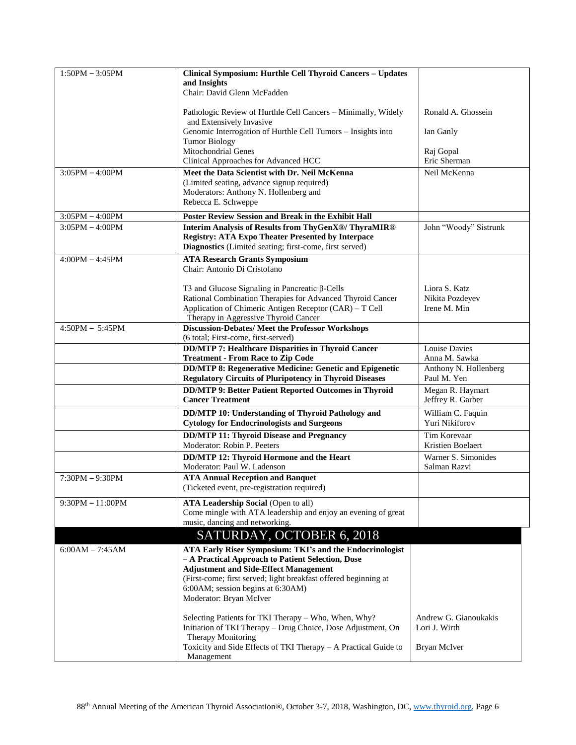| $1:50PM - 3:05PM$  | Clinical Symposium: Hurthle Cell Thyroid Cancers - Updates                                                                       |                                          |
|--------------------|----------------------------------------------------------------------------------------------------------------------------------|------------------------------------------|
|                    | and Insights<br>Chair: David Glenn McFadden                                                                                      |                                          |
|                    |                                                                                                                                  |                                          |
|                    | Pathologic Review of Hurthle Cell Cancers - Minimally, Widely                                                                    | Ronald A. Ghossein                       |
|                    | and Extensively Invasive<br>Genomic Interrogation of Hurthle Cell Tumors - Insights into                                         | Ian Ganly                                |
|                    | <b>Tumor Biology</b>                                                                                                             |                                          |
|                    | Mitochondrial Genes                                                                                                              | Raj Gopal                                |
|                    | Clinical Approaches for Advanced HCC                                                                                             | Eric Sherman                             |
| $3:05PM - 4:00PM$  | Meet the Data Scientist with Dr. Neil McKenna                                                                                    | Neil McKenna                             |
|                    | (Limited seating, advance signup required)<br>Moderators: Anthony N. Hollenberg and                                              |                                          |
|                    | Rebecca E. Schweppe                                                                                                              |                                          |
| $3:05PM - 4:00PM$  | <b>Poster Review Session and Break in the Exhibit Hall</b>                                                                       |                                          |
| $3:05PM - 4:00PM$  | Interim Analysis of Results from ThyGenX®/ ThyraMIR®                                                                             | John "Woody" Sistrunk                    |
|                    | <b>Registry: ATA Expo Theater Presented by Interpace</b>                                                                         |                                          |
|                    | Diagnostics (Limited seating; first-come, first served)                                                                          |                                          |
| $4:00PM - 4:45PM$  | <b>ATA Research Grants Symposium</b>                                                                                             |                                          |
|                    | Chair: Antonio Di Cristofano                                                                                                     |                                          |
|                    | T3 and Glucose Signaling in Pancreatic $\beta$ -Cells                                                                            | Liora S. Katz                            |
|                    | Rational Combination Therapies for Advanced Thyroid Cancer                                                                       | Nikita Pozdeyev                          |
|                    | Application of Chimeric Antigen Receptor (CAR) - T Cell                                                                          | Irene M. Min                             |
|                    | Therapy in Aggressive Thyroid Cancer                                                                                             |                                          |
| $4:50PM - 5:45PM$  | <b>Discussion-Debates/Meet the Professor Workshops</b><br>(6 total; First-come, first-served)                                    |                                          |
|                    | <b>DD/MTP 7: Healthcare Disparities in Thyroid Cancer</b>                                                                        | <b>Louise Davies</b>                     |
|                    | <b>Treatment - From Race to Zip Code</b>                                                                                         | Anna M. Sawka                            |
|                    | <b>DD/MTP 8: Regenerative Medicine: Genetic and Epigenetic</b><br><b>Regulatory Circuits of Pluripotency in Thyroid Diseases</b> | Anthony N. Hollenberg<br>Paul M. Yen     |
|                    | <b>DD/MTP 9: Better Patient Reported Outcomes in Thyroid</b><br><b>Cancer Treatment</b>                                          | Megan R. Haymart<br>Jeffrey R. Garber    |
|                    | DD/MTP 10: Understanding of Thyroid Pathology and                                                                                | William C. Faquin                        |
|                    | <b>Cytology for Endocrinologists and Surgeons</b>                                                                                | Yuri Nikiforov                           |
|                    | <b>DD/MTP 11: Thyroid Disease and Pregnancy</b>                                                                                  | Tim Korevaar                             |
|                    | Moderator: Robin P. Peeters                                                                                                      | Kristien Boelaert<br>Warner S. Simonides |
|                    | DD/MTP 12: Thyroid Hormone and the Heart<br>Moderator: Paul W. Ladenson                                                          | Salman Razvi                             |
| $7:30PM - 9:30PM$  | <b>ATA Annual Reception and Banquet</b>                                                                                          |                                          |
|                    | (Ticketed event, pre-registration required)                                                                                      |                                          |
| $9:30PM - 11:00PM$ | <b>ATA Leadership Social (Open to all)</b>                                                                                       |                                          |
|                    | Come mingle with ATA leadership and enjoy an evening of great                                                                    |                                          |
|                    | music, dancing and networking.                                                                                                   |                                          |
|                    | SATURDAY, OCTOBER 6, 2018                                                                                                        |                                          |
| $6:00AM - 7:45AM$  | ATA Early Riser Symposium: TKI's and the Endocrinologist                                                                         |                                          |
|                    | - A Practical Approach to Patient Selection, Dose                                                                                |                                          |
|                    | <b>Adjustment and Side-Effect Management</b><br>(First-come; first served; light breakfast offered beginning at                  |                                          |
|                    | 6:00AM; session begins at 6:30AM)                                                                                                |                                          |
|                    | Moderator: Bryan McIver                                                                                                          |                                          |
|                    |                                                                                                                                  |                                          |
|                    | Selecting Patients for TKI Therapy – Who, When, Why?<br>Initiation of TKI Therapy - Drug Choice, Dose Adjustment, On             | Andrew G. Gianoukakis<br>Lori J. Wirth   |
|                    | Therapy Monitoring                                                                                                               |                                          |
|                    | Toxicity and Side Effects of TKI Therapy - A Practical Guide to                                                                  | Bryan McIver                             |
|                    | Management                                                                                                                       |                                          |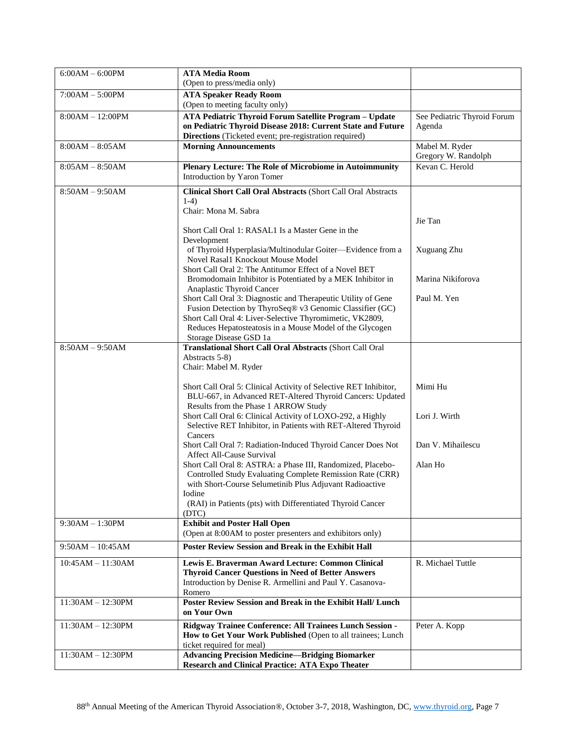| $6:00AM - 6:00PM$   | <b>ATA Media Room</b>                                                                                                       |                             |
|---------------------|-----------------------------------------------------------------------------------------------------------------------------|-----------------------------|
|                     | (Open to press/media only)                                                                                                  |                             |
| $7:00AM - 5:00PM$   | <b>ATA Speaker Ready Room</b><br>(Open to meeting faculty only)                                                             |                             |
| $8:00AM - 12:00PM$  | ATA Pediatric Thyroid Forum Satellite Program - Update                                                                      | See Pediatric Thyroid Forum |
|                     | on Pediatric Thyroid Disease 2018: Current State and Future                                                                 | Agenda                      |
|                     | Directions (Ticketed event; pre-registration required)                                                                      |                             |
| $8:00AM - 8:05AM$   | <b>Morning Announcements</b>                                                                                                | Mabel M. Ryder              |
|                     |                                                                                                                             | Gregory W. Randolph         |
| $8:05AM - 8:50AM$   | Plenary Lecture: The Role of Microbiome in Autoimmunity                                                                     | Kevan C. Herold             |
|                     | Introduction by Yaron Tomer                                                                                                 |                             |
| $8:50AM - 9:50AM$   | Clinical Short Call Oral Abstracts (Short Call Oral Abstracts                                                               |                             |
|                     | $1-4)$                                                                                                                      |                             |
|                     | Chair: Mona M. Sabra                                                                                                        |                             |
|                     | Short Call Oral 1: RASAL1 Is a Master Gene in the                                                                           | Jie Tan                     |
|                     | Development                                                                                                                 |                             |
|                     | of Thyroid Hyperplasia/Multinodular Goiter-Evidence from a                                                                  | Xuguang Zhu                 |
|                     | Novel Rasal1 Knockout Mouse Model                                                                                           |                             |
|                     | Short Call Oral 2: The Antitumor Effect of a Novel BET                                                                      |                             |
|                     | Bromodomain Inhibitor is Potentiated by a MEK Inhibitor in                                                                  | Marina Nikiforova           |
|                     | Anaplastic Thyroid Cancer<br>Short Call Oral 3: Diagnostic and Therapeutic Utility of Gene                                  | Paul M. Yen                 |
|                     | Fusion Detection by ThyroSeq® v3 Genomic Classifier (GC)                                                                    |                             |
|                     | Short Call Oral 4: Liver-Selective Thyromimetic, VK2809,                                                                    |                             |
|                     | Reduces Hepatosteatosis in a Mouse Model of the Glycogen                                                                    |                             |
|                     | Storage Disease GSD 1a                                                                                                      |                             |
| $8:50AM - 9:50AM$   | Translational Short Call Oral Abstracts (Short Call Oral<br>Abstracts 5-8)                                                  |                             |
|                     | Chair: Mabel M. Ryder                                                                                                       |                             |
|                     |                                                                                                                             |                             |
|                     | Short Call Oral 5: Clinical Activity of Selective RET Inhibitor,                                                            | Mimi Hu                     |
|                     | BLU-667, in Advanced RET-Altered Thyroid Cancers: Updated                                                                   |                             |
|                     | Results from the Phase 1 ARROW Study                                                                                        |                             |
|                     | Short Call Oral 6: Clinical Activity of LOXO-292, a Highly<br>Selective RET Inhibitor, in Patients with RET-Altered Thyroid | Lori J. Wirth               |
|                     | Cancers                                                                                                                     |                             |
|                     | Short Call Oral 7: Radiation-Induced Thyroid Cancer Does Not                                                                | Dan V. Mihailescu           |
|                     | Affect All-Cause Survival                                                                                                   |                             |
|                     | Short Call Oral 8: ASTRA: a Phase III, Randomized, Placebo-                                                                 | Alan Ho                     |
|                     | Controlled Study Evaluating Complete Remission Rate (CRR)<br>with Short-Course Selumetinib Plus Adjuvant Radioactive        |                             |
|                     | Iodine                                                                                                                      |                             |
|                     | (RAI) in Patients (pts) with Differentiated Thyroid Cancer                                                                  |                             |
|                     | (DTC)                                                                                                                       |                             |
| $9:30AM - 1:30PM$   | <b>Exhibit and Poster Hall Open</b>                                                                                         |                             |
|                     | (Open at 8:00AM to poster presenters and exhibitors only)                                                                   |                             |
| $9:50AM - 10:45AM$  | <b>Poster Review Session and Break in the Exhibit Hall</b>                                                                  |                             |
| $10:45AM - 11:30AM$ | Lewis E. Braverman Award Lecture: Common Clinical                                                                           | R. Michael Tuttle           |
|                     | <b>Thyroid Cancer Questions in Need of Better Answers</b>                                                                   |                             |
|                     | Introduction by Denise R. Armellini and Paul Y. Casanova-                                                                   |                             |
|                     | Romero                                                                                                                      |                             |
| $11:30AM - 12:30PM$ | <b>Poster Review Session and Break in the Exhibit Hall/ Lunch</b><br>on Your Own                                            |                             |
|                     |                                                                                                                             |                             |
| $11:30AM - 12:30PM$ | Ridgway Trainee Conference: All Trainees Lunch Session -<br>How to Get Your Work Published (Open to all trainees; Lunch     | Peter A. Kopp               |
|                     | ticket required for meal)                                                                                                   |                             |
| $11:30AM - 12:30PM$ | <b>Advancing Precision Medicine-Bridging Biomarker</b>                                                                      |                             |
|                     | <b>Research and Clinical Practice: ATA Expo Theater</b>                                                                     |                             |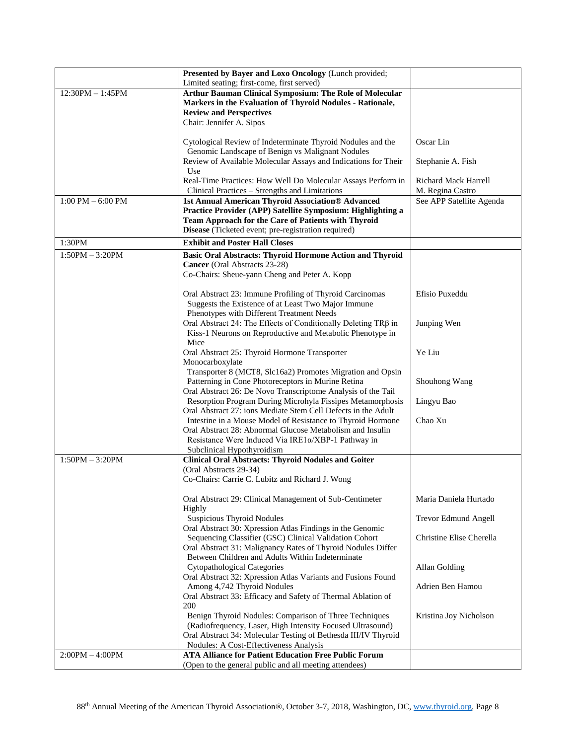|                                     | Presented by Bayer and Loxo Oncology (Lunch provided;             |                          |
|-------------------------------------|-------------------------------------------------------------------|--------------------------|
|                                     | Limited seating; first-come, first served)                        |                          |
| $12:30PM - 1:45PM$                  | Arthur Bauman Clinical Symposium: The Role of Molecular           |                          |
|                                     | Markers in the Evaluation of Thyroid Nodules - Rationale,         |                          |
|                                     | <b>Review and Perspectives</b>                                    |                          |
|                                     | Chair: Jennifer A. Sipos                                          |                          |
|                                     |                                                                   |                          |
|                                     | Cytological Review of Indeterminate Thyroid Nodules and the       | Oscar Lin                |
|                                     | Genomic Landscape of Benign vs Malignant Nodules                  |                          |
|                                     | Review of Available Molecular Assays and Indications for Their    | Stephanie A. Fish        |
|                                     | Use                                                               |                          |
|                                     | Real-Time Practices: How Well Do Molecular Assays Perform in      | Richard Mack Harrell     |
|                                     | Clinical Practices - Strengths and Limitations                    | M. Regina Castro         |
| $1:00 \text{ PM} - 6:00 \text{ PM}$ | 1st Annual American Thyroid Association® Advanced                 | See APP Satellite Agenda |
|                                     | Practice Provider (APP) Satellite Symposium: Highlighting a       |                          |
|                                     | Team Approach for the Care of Patients with Thyroid               |                          |
|                                     | Disease (Ticketed event; pre-registration required)               |                          |
| 1:30PM                              | <b>Exhibit and Poster Hall Closes</b>                             |                          |
| $1:50PM - 3:20PM$                   | <b>Basic Oral Abstracts: Thyroid Hormone Action and Thyroid</b>   |                          |
|                                     | Cancer (Oral Abstracts 23-28)                                     |                          |
|                                     | Co-Chairs: Sheue-yann Cheng and Peter A. Kopp                     |                          |
|                                     |                                                                   |                          |
|                                     | Oral Abstract 23: Immune Profiling of Thyroid Carcinomas          | Efisio Puxeddu           |
|                                     | Suggests the Existence of at Least Two Major Immune               |                          |
|                                     | Phenotypes with Different Treatment Needs                         |                          |
|                                     | Oral Abstract 24: The Effects of Conditionally Deleting TRβ in    | Junping Wen              |
|                                     | Kiss-1 Neurons on Reproductive and Metabolic Phenotype in<br>Mice |                          |
|                                     | Oral Abstract 25: Thyroid Hormone Transporter                     | Ye Liu                   |
|                                     | Monocarboxylate                                                   |                          |
|                                     | Transporter 8 (MCT8, Slc16a2) Promotes Migration and Opsin        |                          |
|                                     | Patterning in Cone Photoreceptors in Murine Retina                | Shouhong Wang            |
|                                     | Oral Abstract 26: De Novo Transcriptome Analysis of the Tail      |                          |
|                                     | Resorption Program During Microhyla Fissipes Metamorphosis        | Lingyu Bao               |
|                                     | Oral Abstract 27: ions Mediate Stem Cell Defects in the Adult     |                          |
|                                     | Intestine in a Mouse Model of Resistance to Thyroid Hormone       | Chao Xu                  |
|                                     | Oral Abstract 28: Abnormal Glucose Metabolism and Insulin         |                          |
|                                     | Resistance Were Induced Via IRE1a/XBP-1 Pathway in                |                          |
|                                     | Subclinical Hypothyroidism                                        |                          |
| $1:50PM - 3:20PM$                   | <b>Clinical Oral Abstracts: Thyroid Nodules and Goiter</b>        |                          |
|                                     | (Oral Abstracts 29-34)                                            |                          |
|                                     | Co-Chairs: Carrie C. Lubitz and Richard J. Wong                   |                          |
|                                     |                                                                   |                          |
|                                     | Oral Abstract 29: Clinical Management of Sub-Centimeter           | Maria Daniela Hurtado    |
|                                     | Highly<br><b>Suspicious Thyroid Nodules</b>                       | Trevor Edmund Angell     |
|                                     | Oral Abstract 30: Xpression Atlas Findings in the Genomic         |                          |
|                                     | Sequencing Classifier (GSC) Clinical Validation Cohort            | Christine Elise Cherella |
|                                     | Oral Abstract 31: Malignancy Rates of Thyroid Nodules Differ      |                          |
|                                     | Between Children and Adults Within Indeterminate                  |                          |
|                                     | <b>Cytopathological Categories</b>                                | Allan Golding            |
|                                     | Oral Abstract 32: Xpression Atlas Variants and Fusions Found      |                          |
|                                     | Among 4,742 Thyroid Nodules                                       | Adrien Ben Hamou         |
|                                     | Oral Abstract 33: Efficacy and Safety of Thermal Ablation of      |                          |
|                                     | 200                                                               |                          |
|                                     | Benign Thyroid Nodules: Comparison of Three Techniques            | Kristina Joy Nicholson   |
|                                     | (Radiofrequency, Laser, High Intensity Focused Ultrasound)        |                          |
|                                     | Oral Abstract 34: Molecular Testing of Bethesda III/IV Thyroid    |                          |
|                                     | Nodules: A Cost-Effectiveness Analysis                            |                          |
| $2:00PM - 4:00PM$                   | <b>ATA Alliance for Patient Education Free Public Forum</b>       |                          |
|                                     | (Open to the general public and all meeting attendees)            |                          |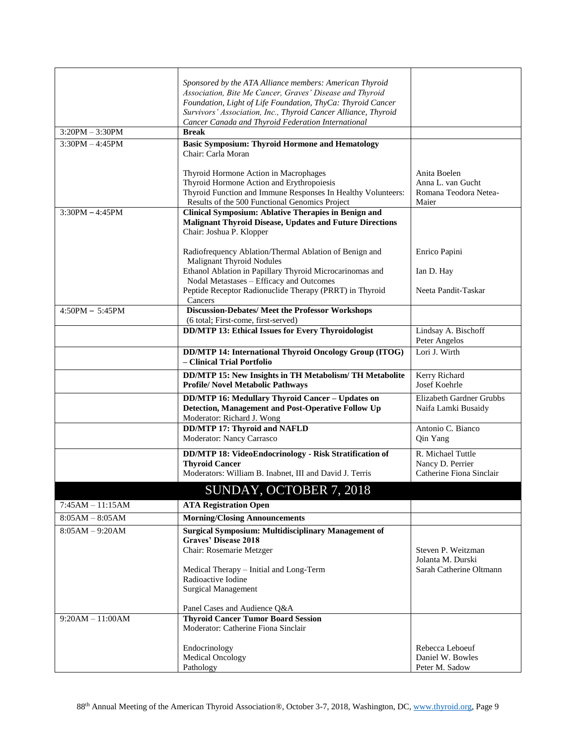|                    | Sponsored by the ATA Alliance members: American Thyroid                                              |                          |
|--------------------|------------------------------------------------------------------------------------------------------|--------------------------|
|                    | Association, Bite Me Cancer, Graves' Disease and Thyroid                                             |                          |
|                    | Foundation, Light of Life Foundation, ThyCa: Thyroid Cancer                                          |                          |
|                    | Survivors' Association, Inc., Thyroid Cancer Alliance, Thyroid                                       |                          |
|                    | Cancer Canada and Thyroid Federation International                                                   |                          |
| $3:20PM - 3:30PM$  | <b>Break</b>                                                                                         |                          |
| $3:30PM - 4:45PM$  | <b>Basic Symposium: Thyroid Hormone and Hematology</b>                                               |                          |
|                    | Chair: Carla Moran                                                                                   |                          |
|                    |                                                                                                      | Anita Boelen             |
|                    | Thyroid Hormone Action in Macrophages<br>Thyroid Hormone Action and Erythropoiesis                   | Anna L. van Gucht        |
|                    | Thyroid Function and Immune Responses In Healthy Volunteers:                                         | Romana Teodora Netea-    |
|                    | Results of the 500 Functional Genomics Project                                                       | Maier                    |
| $3:30PM - 4:45PM$  | <b>Clinical Symposium: Ablative Therapies in Benign and</b>                                          |                          |
|                    | <b>Malignant Thyroid Disease, Updates and Future Directions</b>                                      |                          |
|                    | Chair: Joshua P. Klopper                                                                             |                          |
|                    |                                                                                                      |                          |
|                    | Radiofrequency Ablation/Thermal Ablation of Benign and                                               | Enrico Papini            |
|                    | <b>Malignant Thyroid Nodules</b>                                                                     |                          |
|                    | Ethanol Ablation in Papillary Thyroid Microcarinomas and<br>Nodal Metastases - Efficacy and Outcomes | Ian D. Hay               |
|                    | Peptide Receptor Radionuclide Therapy (PRRT) in Thyroid                                              | Neeta Pandit-Taskar      |
|                    | Cancers                                                                                              |                          |
| $4:50PM - 5:45PM$  | <b>Discussion-Debates/ Meet the Professor Workshops</b>                                              |                          |
|                    | (6 total; First-come, first-served)                                                                  |                          |
|                    | <b>DD/MTP 13: Ethical Issues for Every Thyroidologist</b>                                            | Lindsay A. Bischoff      |
|                    |                                                                                                      | Peter Angelos            |
|                    | <b>DD/MTP 14: International Thyroid Oncology Group (ITOG)</b>                                        | Lori J. Wirth            |
|                    | - Clinical Trial Portfolio                                                                           |                          |
|                    | DD/MTP 15: New Insights in TH Metabolism/TH Metabolite                                               | Kerry Richard            |
|                    | Profile/ Novel Metabolic Pathways                                                                    | Josef Koehrle            |
|                    | DD/MTP 16: Medullary Thyroid Cancer - Updates on                                                     | Elizabeth Gardner Grubbs |
|                    | Detection, Management and Post-Operative Follow Up                                                   | Naifa Lamki Busaidy      |
|                    | Moderator: Richard J. Wong                                                                           |                          |
|                    | <b>DD/MTP 17: Thyroid and NAFLD</b>                                                                  | Antonio C. Bianco        |
|                    | Moderator: Nancy Carrasco                                                                            | Qin Yang                 |
|                    | DD/MTP 18: VideoEndocrinology - Risk Stratification of                                               | R. Michael Tuttle        |
|                    | <b>Thyroid Cancer</b>                                                                                | Nancy D. Perrier         |
|                    | Moderators: William B. Inabnet, III and David J. Terris                                              | Catherine Fiona Sinclair |
|                    | SUNDAY, OCTOBER 7, 2018                                                                              |                          |
| $7:45AM - 11:15AM$ | <b>ATA Registration Open</b>                                                                         |                          |
|                    |                                                                                                      |                          |
| $8:05AM - 8:05AM$  | <b>Morning/Closing Announcements</b>                                                                 |                          |
| $8:05AM - 9:20AM$  | <b>Surgical Symposium: Multidisciplinary Management of</b>                                           |                          |
|                    | <b>Graves' Disease 2018</b><br>Chair: Rosemarie Metzger                                              | Steven P. Weitzman       |
|                    |                                                                                                      | Jolanta M. Durski        |
|                    | Medical Therapy - Initial and Long-Term                                                              | Sarah Catherine Oltmann  |
|                    | Radioactive Iodine                                                                                   |                          |
|                    | <b>Surgical Management</b>                                                                           |                          |
|                    |                                                                                                      |                          |
|                    | Panel Cases and Audience Q&A                                                                         |                          |
| $9:20AM - 11:00AM$ | <b>Thyroid Cancer Tumor Board Session</b>                                                            |                          |
|                    | Moderator: Catherine Fiona Sinclair                                                                  |                          |
|                    | Endocrinology                                                                                        | Rebecca Leboeuf          |
|                    | <b>Medical Oncology</b>                                                                              | Daniel W. Bowles         |
|                    |                                                                                                      | Peter M. Sadow           |
|                    | Pathology                                                                                            |                          |